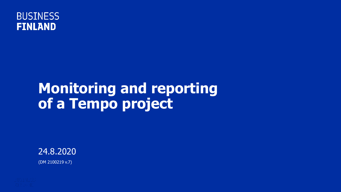

#### **Monitoring and reporting of a Tempo project**

24.8.2020 (DM 2100219 v.7)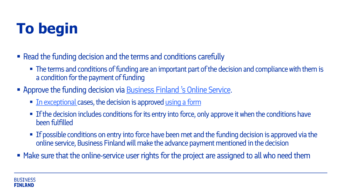# **To begin**

- Read the funding decision and the terms and conditions carefully
	- The terms and conditions of funding are an important part of the decision and compliance with them is a condition for the payment of funding
- **Approve the funding decision via [Business Finland 's Online Service](https://www.businessfinland.fi/en/for-finnish-customers/online-services/).** 
	- **I.** [In exceptional c](https://www.businessfinland.fi/en/for-finnish-customers/services/funding/guidelines-terms-and-forms/project-implementation/)ases, the decision is approved using a form
	- If the decision includes conditions for its entry into force, only approve it when the conditions have been fulfilled
	- If possible conditions on entry into force have been met and the funding decision is approved via the online service, Business Finland will make the advance payment mentioned in the decision
- **Make sure that the online-service user rights for the project are assigned to all who need them**

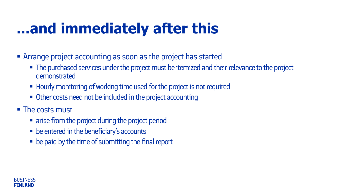### **...and immediately after this**

- Arrange project accounting as soon as the project has started
	- The purchased services under the project must be itemized and their relevance to the project demonstrated
	- Hourly monitoring of working time used for the project is not required
	- Other costs need not be included in the project accounting
- The costs must
	- arise from the project during the project period
	- **be entered in the beneficiary's accounts**
	- be paid by the time of submitting the final report

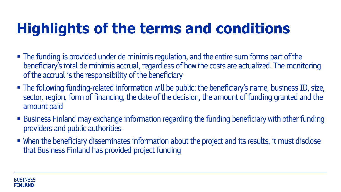### **Highlights of the terms and conditions**

- The funding is provided under de minimis regulation, and the entire sum forms part of the beneficiary's total de minimis accrual, regardless of how the costs are actualized. The monitoring of the accrual is the responsibility of the beneficiary
- The following funding-related information will be public: the beneficiary's name, business ID, size, sector, region, form of financing, the date of the decision, the amount of funding granted and the amount paid
- Business Finland may exchange information regarding the funding beneficiary with other funding providers and public authorities
- When the beneficiary disseminates information about the project and its results, it must disclose that Business Finland has provided project funding

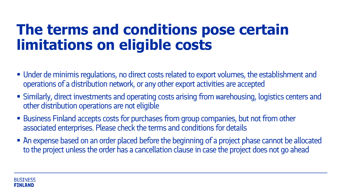#### **The terms and conditions pose certain limitations on eligible costs**

- Under de minimis regulations, no direct costs related to export volumes, the establishment and operations of a distribution network, or any other export activities are accepted
- Similarly, direct investments and operating costs arising from warehousing, logistics centers and other distribution operations are not eligible
- Business Finland accepts costs for purchases from group companies, but not from other associated enterprises. Please check the terms and conditions for details
- An expense based on an order placed before the beginning of a project phase cannot be allocated to the project unless the order has a cancellation clause in case the project does not go ahead

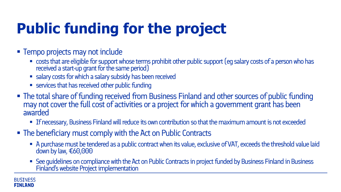# **Public funding for the project**

- **Tempo projects may not include** 
	- **EXPLOSTS that are eligible for support whose terms prohibit other public support (eg salary costs of a person who has** received a start-up grant for the same period)
	- salary costs for which a salary subsidy has been received
	- **EXECUTE:** services that has received other public funding
- The total share of funding received from Business Finland and other sources of public funding may not cover the full cost of activities or a project for which a government grant has been awarded
	- If necessary, Business Finland will reduce its own contribution so that the maximum amount is not exceeded
- The beneficiary must comply with the Act on Public Contracts
	- A purchase must be tendered as a public contract when its value, exclusive of VAT, exceeds the threshold value laid down by law, €60,000
	- See guidelines on compliance with the Act on Public Contracts in project funded by Business Finland in Business Finland's website Project implementation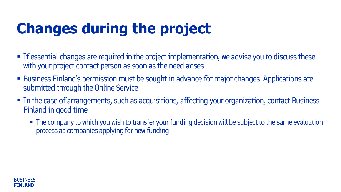# **Changes during the project**

- If essential changes are required in the project implementation, we advise you to discuss these with your project contact person as soon as the need arises
- **Business Finland's permission must be sought in advance for major changes. Applications are** submitted through the Online Service
- **IF In the case of arrangements, such as acquisitions, affecting your organization, contact Business** Finland in good time
	- The company to which you wish to transfer your funding decision will be subject to the same evaluation process as companies applying for new funding

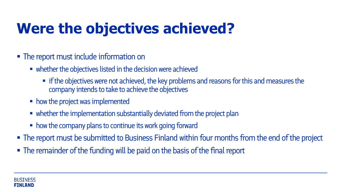### **Were the objectives achieved?**

- The report must include information on
	- whether the objectives listed in the decision were achieved
		- **In** if the objectives were not achieved, the key problems and reasons for this and measures the company intends to take to achieve the objectives
	- how the project was implemented
	- whether the implementation substantially deviated from the project plan
	- how the company plans to continue its work going forward
- **The report must be submitted to Business Finland within four months from the end of the project**
- The remainder of the funding will be paid on the basis of the final report

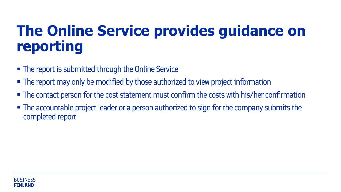#### **The Online Service provides guidance on reporting**

- The report is submitted through the Online Service
- The report may only be modified by those authorized to view project information
- The contact person for the cost statement must confirm the costs with his/her confirmation
- The accountable project leader or a person authorized to sign for the company submits the completed report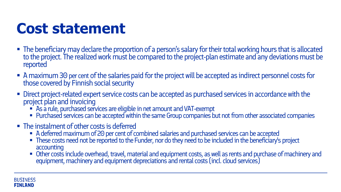#### **Cost statement**

- The beneficiary may declare the proportion of a person's salary for their total working hours that is allocated to the project. The realized work must be compared to the project-plan estimate and any deviations must be reported
- A maximum 30 per cent of the salaries paid for the project will be accepted as indirect personnel costs for those covered by Finnish social security
- Direct project-related expert service costs can be accepted as purchased services in accordance with the project plan and invoicing
	- As a rule, purchased services are eligible in net amount and VAT-exempt
	- **Purchased services can be accepted within the same Group companies but not from other associated companies**
- The instalment of other costs is deferred
	- A deferred maximum of 20 per cent of combined salaries and purchased services can be accepted
	- These costs need not be reported to the Funder, nor do they need to be included in the beneficiary's project accounting
	- Other costs include overhead, travel, material and equipment costs, as well as rents and purchase of machinery and equipment, machinery and equipment depreciations and rental costs (incl. cloud services)

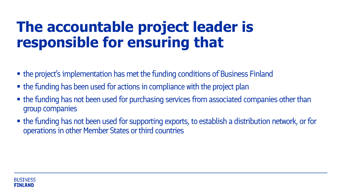#### **The accountable project leader is responsible for ensuring that**

- the project's implementation has met the funding conditions of Business Finland
- the funding has been used for actions in compliance with the project plan
- the funding has not been used for purchasing services from associated companies other than group companies
- the funding has not been used for supporting exports, to establish a distribution network, or for operations in other Member States or third countries

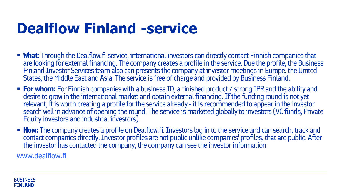### **Dealflow Finland -service**

- **What:** Through the Dealflow.fi-service, international investors can directly contact Finnish companies that are looking for external financing. The company creates a profile in the service. Due the profile, the Business Finland Investor Services team also can presents the company at investor meetings in Europe, the United States, the Middle East and Asia. The service is free of charge and provided by Business Finland.
- **For whom:** For Finnish companies with a business ID, a finished product / strong IPR and the ability and desire to grow in the international market and obtain external financing. If the funding round is not yet relevant, it is worth creating a profile for the service already - it is recommended to appear in the investor search well in advance of opening the round. The service is marketed globally to investors (VC funds, Private Equity investors and industrial investors).
- **How:** The company creates a profile on Dealflow.fi. Investors log in to the service and can search, track and contact companies directly. Investor profiles are not public unlike companies' profiles, that are public. After the investor has contacted the company, the company can see the investor information.

[www.dealflow.fi](http://www.dealflow.fi/)

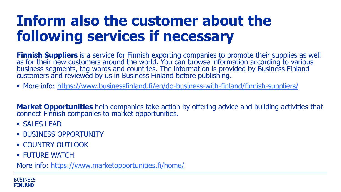#### **Inform also the customer about the following services if necessary**

**Finnish Suppliers** is a service for Finnish exporting companies to promote their supplies as well as for their new customers around the world. You can browse information according to various business segments, tag words and countries. The information is provided by Business Finland customers and reviewed by us in Business Finland before publishing.

More info:<https://www.businessfinland.fi/en/do-business-with-finland/finnish-suppliers/>

**Market Opportunities** help companies take action by offering advice and building activities that connect Finnish companies to market opportunities.

- **SALES LEAD**
- **BUSINESS OPPORTUNITY**
- **COUNTRY OUTLOOK**
- **FUTURE WATCH**

More info:<https://www.marketopportunities.fi/home/>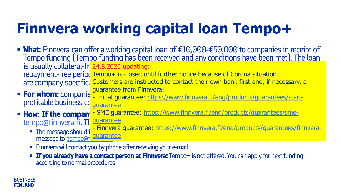## **Finnvera working capital loan Tempo+**

- **What:** Finnvera can offer a working capital loan of €10,000-€50,000 to companies in receipt of Tempo funding (Tempo funding has been received and any conditions have been met). The loan is usually collateral-fr<mark> 24.8.2020 updating:</mark> with a maximum repayment period of 6 years and a maximum repayment repayment-free period Tempo+ is closed until further notice because of Corona situation. are company specific. Customers are instructed to contact their own bank first and, if necessary, a
- **For whom:** companie suggestive that the versitive sales of the first deal and the set of a ready startprofitable business conditions guarantee from Finnvera: - [Initial guarantee: https://www.finnvera.fi/eng/products/guarantees/start](https://www.finnvera.fi/eng/products/guarantees/start-guarantee)guarantee

**How: If the compan** - [SME guarantee: https://www.finnvera.fi/eng/products/guarantees/sme](https://www.finnvera.fi/eng/products/guarantees/sme-guarantee)[tempo@finnvera.fi.](mailto:tempo@finnvera.fi) The guarantee

- The message should include a brief and for the new strong for a working capital loan. For guarantees, in invertion message to tempo@f - Finnvera guarantee: https://www.finnvera.fi/eng/products/guarantees/finnveraguarantee
- Finnvera will contact you by phone after receiving your e-mail
- **If you already have a contact person at Finnvera:** Tempo+ is not offered. You can apply for next funding according to normal procedures